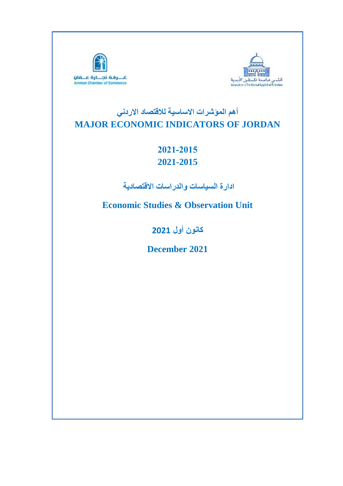



# **أهم المؤشرات االساسية لالقتصاد االردني MAJOR ECONOMIC INDICATORS OF JORDAN**

## **2021-2015 2021-2015**

**ادارة السياسات والدراسات االقتصادية** 

**Economic Studies & Observation Unit**

**كانون أول 2021**

**December 2021**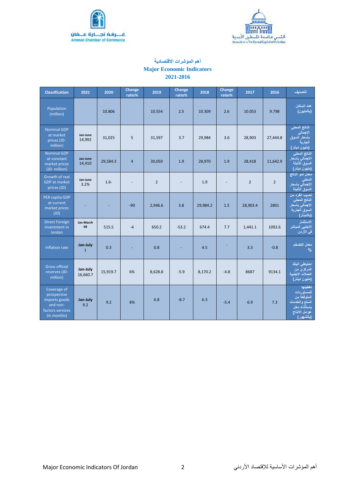



## **أهم المؤشرات االقتصادية**

## **Major Economic Indicators 2021-2016**

| <b>Classification</b>                                                                      | 2021                     | 2020     | Change<br>ratio% | 2019           | Change<br>ratio% | 2018     | Change<br>ratio% | 2017           | 2016           | التصنيف                                                                                              |
|--------------------------------------------------------------------------------------------|--------------------------|----------|------------------|----------------|------------------|----------|------------------|----------------|----------------|------------------------------------------------------------------------------------------------------|
| Population<br>(million)                                                                    |                          | 10.806   |                  | 10.554         | 2.5              | 10.309   | 2.6              | 10.053         | 9.798          | عدد السكان<br>(بالمليون)                                                                             |
| <b>Nominal GDP</b><br>at market<br>prices (JD-<br>million)                                 | Jan-June<br>14,992       | 31,025   | 5                | 31,597         | 3.7              | 29,984   | 3.6              | 28,903         | 27,444.8       | الناتج المحلى<br>الاجمالي<br>بأسعار السوق<br>الجارية<br>(مليون دينار)                                |
| <b>Nominal GDP</b><br>at constant<br>market prices<br>(JD-million)                         | Jan-June<br>14,410       | 29,584.3 | $\overline{4}$   | 30,050         | 1.9              | 28,970   | 1.9              | 28,418         | 11,642.9       | الناتج المحلى<br>الاجمالي بأسعار<br>السوق الثابتة<br>(مليون دينار)                                   |
| Growth of real<br><b>GDP</b> at market<br>prices (JD)                                      | Jan-June<br>3.2%         | $1.6 -$  |                  | $\overline{2}$ |                  | 1.9      |                  | $\overline{2}$ | $\overline{2}$ | <u>معدل نمو</u> الناتج<br>المحلى<br>الاجمالي بأسعار<br>السوق الثابتة                                 |
| PER capita GDP<br>at current<br>market prices<br>(JD)                                      |                          |          | $-90$            | 2,946.6        | 3.8              | 29,984.2 | 1.5              | 28,903.4       | 2801           | نصيب الفرد من<br>الناتج المحلى<br>الاجمالي بأسعار<br>السوق الجارية<br>(بالدينار)                     |
| <b>Direct Foreign</b><br>Investment in<br>Jordan                                           | Jan-March<br>68          | 515.5    | $-4$             | 650.2          | $-53.2$          | 674.4    | 7.7              | 1,441.1        | 1092.6         | الاستثمار<br>الاجنبي المباشر<br>في الأردن                                                            |
| Inflation rate                                                                             | Jan-July<br>$\mathbf{1}$ | 0.3      |                  | 0.8            |                  | 4.5      |                  | 3.3            | $-0.8$         | معدل التضخم<br>$\%$                                                                                  |
| <b>Gross official</b><br>reserves (JD-<br>million)                                         | Jan-July<br>16,660.7     | 15,919.7 | 6%               | 8,628.8        | $-5.9$           | 8,170.2  | $-4.8$           | 8687           | 9134.1         | احتياطي البنك<br>المركزي من<br>العملات الاجنبية<br>(مليون دينار)                                     |
| Coverage of<br>prospective<br>imports goods<br>and non-<br>factors services<br>(in months) | Jan-July<br>9.2          | 9.2      | 8%               | 6.8            | $-8.7$           | 6.3      | $-5.4$           | 6.9            | 7.3            | تغطيتها<br>للمستوردات<br>المتوقعة من<br>السلع والخدمات<br>باستثناء دخل<br>عوامل الانتاج<br>(بالشهور) |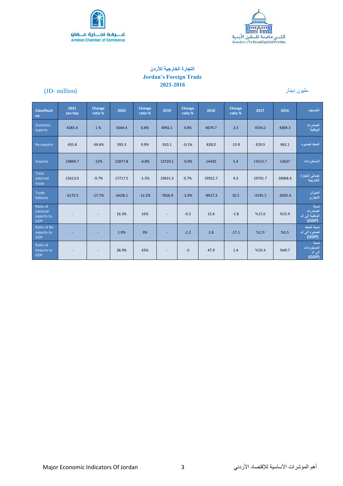



## **التجارة الخارجية لألردن Jordan's Foreign Trade 2021-2016**

## مليون دينار (million -JD(

| <b>Classificati</b><br>on                        | 2021<br>Jan-Sep | Change<br>ratio %        | 2020      | Change<br>ratio % | 2019           | Change<br>ratio % | 2018      | Change<br>ratio % | 2017      | 2016      | التصنيف                                      |
|--------------------------------------------------|-----------------|--------------------------|-----------|-------------------|----------------|-------------------|-----------|-------------------|-----------|-----------|----------------------------------------------|
| <b>Domestic</b><br>exports                       | 4283.4          | 1%                       | 5044.4    | 6.8%              | 4992.1         | 3.8%              | 4674.7    | 2.3               | 4504.2    | 4369.3    | الصادرات<br>الوطنية                          |
| Re-exports                                       | 435.8           | $-34.6%$                 | 595.3     | 9.9%              | 910.1          | $-0.1%$           | 828.0     | $-13.9$           | 828.9     | 962.1     | المعاد تصديره                                |
| Imports                                          | 10894.7         | $-12%$                   | 12077.8   | $-4.8%$           | 13729.1        | $-0.9%$           | 14420     | 5.4               | 14553.7   | 13637     | المستوردات                                   |
| <b>Total</b><br>external<br>trade                | 15613.9         | $-9.7%$                  | 17717.5   | $-1.5%$           | 19631.3        | 0.7%              | 19922.7   | 4.3               | 19791.7   | 18968.4   | إجمالي التجارة<br>الخارجية                   |
| Trade<br>balance                                 | $-6175.5$       | $-17.7%$                 | $-6438.1$ | $-12.2%$          | $-7826.9$      | $-2.9%$           | $-8917.3$ | 10.5              | $-9185.5$ | $-8305.6$ | الميزان<br>التجاري                           |
| Ratio of<br>national<br>exports to<br><b>GDP</b> |                 | $\overline{a}$           | 16.3%     | 16%               | $\overline{a}$ | $-0.2$            | 15.6      | $-1.8$            | %15.6     | %15.9     | نسبة<br>الصادر ات<br>الوطنية إلى ال<br>(GDP) |
| Ratio of Re-<br>exports to<br><b>GDP</b>         |                 | ٠                        | 1.9%      | 3%                | ÷.             | $-2.2$            | 2.8       | $-17.1$           | %2.9      | %3.5      | نسبة المعاد<br>تصدیرہ اِلی الہ<br>(GDP)      |
| Ratio of<br>imports to<br><b>GDP</b>             | $\overline{a}$  | $\overline{\phantom{a}}$ | 38.9%     | 43%               | $\sim$         | $-5$              | 47.9      | 1.4               | %50.4     | %49.7     | انسلة<br>المستوردات<br>الی الہ<br>(GDP)      |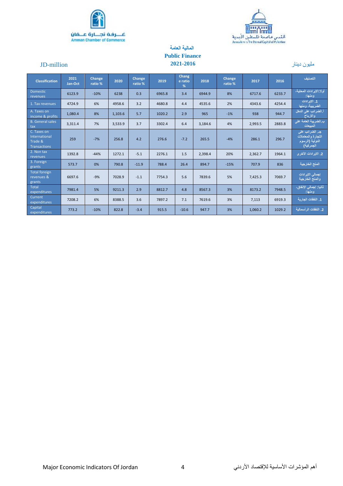



## **المالية العامة Public Finance 2021-2016**

## مليون دينار million-JD

| <b>Classification</b>                                          | 2021<br>Jan-Oct | Change<br>ratio % | 2020    | Change<br>ratio % | 2019   | Chang<br>e ratio<br>% | 2018    | Change<br>ratio % | 2017    | 2016   | التصنيف                                                               |
|----------------------------------------------------------------|-----------------|-------------------|---------|-------------------|--------|-----------------------|---------|-------------------|---------|--------|-----------------------------------------------------------------------|
| <b>Domestic</b><br>revenues                                    | 6123.9          | $-10%$            | 6238    | 0.3               | 6965.8 | 3.4                   | 6944.9  | 8%                | 6717.6  | 6233.7 | أولا: الاير ادات المحلية،<br>ومنها:                                   |
| 1. Tax revenues                                                | 4724.9          | 6%                | 4958.6  | 3.2               | 4680.8 | 4.4                   | 4535.6  | 2%                | 4343.6  | 4254.4 | 1. الأير ادات<br>الضريبية، ومنها                                      |
| A. Taxes on<br>income & profits                                | 1,080.4         | 8%                | 1,103.6 | 5.7               | 1020.2 | 2.9                   | 965     | $-1%$             | 938     | 944.7  | أ الضرانب على الدخل<br>والارباح                                       |
| <b>B.</b> General sales<br>tax                                 | 3,311.4         | 7%                | 3,533.9 | 3.7               | 3302.4 | 6.4                   | 3,184.6 | 4%                | 2,993.5 | 2883.8 | ب الضريبة العامة على<br>المبيعات                                      |
| C. Taxes on<br>International<br>Trade &<br><b>Transactions</b> | 259             | $-7%$             | 256.8   | 4.2               | 276.6  | $-7.2$                | 265.5   | $-4%$             | 286.1   | 296.7  | جـ. الضرانب على<br>التجارة والمعاملات<br>الدولية (الرسوم<br>الجمركية) |
| 2. Non tax<br>revenues                                         | 1392.8          | $-44%$            | 1272.1  | $-5.1$            | 2276.1 | 1.5                   | 2,398.4 | 20%               | 2,362.7 | 1964.1 | 2. الايرادات الأخرى                                                   |
| 3. Foreign<br>grants                                           | 573.7           | 0%                | 790.8   | $-11.9$           | 788.4  | 26.4                  | 894.7   | $-15%$            | 707.9   | 836    | المنح الخارجية                                                        |
| <b>Total foreign</b><br>revenues &<br>grants                   | 6697.6          | $-9%$             | 7028.9  | $-1.1$            | 7754.3 | 5.6                   | 7839.6  | 5%                | 7,425.3 | 7069.7 | إجمالي الايرادات<br>والمنح الخارجية                                   |
| <b>Total</b><br>expenditures                                   | 7981.4          | 5%                | 9211.3  | 2.9               | 8812.7 | 4.8                   | 8567.3  | 3%                | 8173.2  | 7948.5 | ثانيا: إجمالي الإنفاق،<br>ومنها:                                      |
| Current<br>expenditures                                        | 7208.2          | 6%                | 8388.5  | 3.6               | 7897.2 | 7.1                   | 7619.6  | 3%                | 7,113   | 6919.3 | 1. النفقات الجار بة                                                   |
| Capital<br>expenditures                                        | 773.2           | $-10%$            | 822.8   | $-3.4$            | 915.5  | $-10.6$               | 947.7   | 3%                | 1,060.2 | 1029.2 | 2. النفقات الر أسمالية                                                |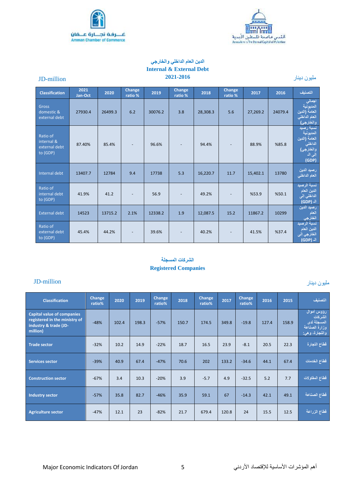



#### **الدين العام الداخلي والخارجي Internal & External Debt 2021-2016** مليون دينار million-JD

مليون دينار

| <b>Classification</b>                               | 2021<br>Jan-Oct | 2020    | <b>Change</b><br>ratio % | 2019    | Change<br>ratio % | 2018     | Change<br>ratio % | 2017     | 2016    | التصنيف                                                                            |
|-----------------------------------------------------|-----------------|---------|--------------------------|---------|-------------------|----------|-------------------|----------|---------|------------------------------------------------------------------------------------|
| Gross<br>domestic &<br>external debt                | 27930.4         | 26499.3 | 6.2                      | 30076.2 | 3.8               | 28,308.3 | 5.6               | 27,269.2 | 24079.4 | اجمالي<br>المديونية<br>العامة (الدين<br>العام الداخلي<br>اوالخارج <i>ي</i> )       |
| Ratio of<br>internal &<br>external debt<br>to (GDP) | 87.40%          | 85.4%   |                          | 96.6%   |                   | 94.4%    |                   | 88.9%    | %85.8   | نسبة رصيد<br>المديونية<br>العامة (الدين<br>الداخلي<br>والخارجي)<br>إلى ال<br>(GDP) |
| Internal debt                                       | 13407.7         | 12784   | 9.4                      | 17738   | 5.3               | 16,220.7 | 11.7              | 15,402.1 | 13780   | رصيد الدين<br>العام الداخلي                                                        |
| Ratio of<br>internal debt<br>to (GDP)               | 41.9%           | 41.2    |                          | 56.9    |                   | 49.2%    |                   | %53.9    | %50.1   | نسبة الرصيد<br>الدين العام<br>الداخلي إلى<br>الہ (GDP)                             |
| <b>External debt</b>                                | 14523           | 13715.2 | 2.1%                     | 12338.2 | 1.9               | 12,087.5 | 15.2              | 11867.2  | 10299   | رصيد الدين<br>العام<br>الخارجي                                                     |
| Ratio of<br>external debt<br>to (GDP)               | 45.4%           | 44.2%   |                          | 39.6%   |                   | 40.2%    |                   | 41.5%    | %37.4   | نسبة الرصيد<br>الدين العام<br>الخارجي إلى<br>الہ (GDP)                             |

## **الشركات المسجلة Registered Companies**

## JD-million

| <b>Classification</b>                                                                                   | Change<br>ratio% | 2020  | 2019  | Change<br>ratio% | 2018  | Change<br>ratio% | 2017  | Change<br>ratio% | 2016  | 2015  | التصنيف                                                                 |
|---------------------------------------------------------------------------------------------------------|------------------|-------|-------|------------------|-------|------------------|-------|------------------|-------|-------|-------------------------------------------------------------------------|
| <b>Capital value of companies</b><br>registered in the ministry of<br>industry & trade (JD-<br>million) | $-48%$           | 102.4 | 198.3 | $-57%$           | 150.7 | 174.5            | 349.8 | $-19.8$          | 127.4 | 158.9 | رؤوس أموال<br>الشركات<br>المسجلة لدى<br>وزارة الصناعة<br>والتجارة، وهي: |
| <b>Trade sector</b>                                                                                     | $-32%$           | 10.2  | 14.9  | $-22%$           | 18.7  | 16.5             | 23.9  | $-8.1$           | 20.5  | 22.3  | قطاع التجارة                                                            |
| <b>Services sector</b>                                                                                  | $-39%$           | 40.9  | 67.4  | $-47%$           | 70.6  | 202              | 133.2 | $-34.6$          | 44.1  | 67.4  | قطاع الخدمات                                                            |
| <b>Construction sector</b>                                                                              | $-67%$           | 3.4   | 10.3  | $-20%$           | 3.9   | $-5.7$           | 4.9   | $-32.5$          | 5.2   | 7.7   | قطاع المقاولات                                                          |
| <b>Industry sector</b>                                                                                  | $-57%$           | 35.8  | 82.7  | $-46%$           | 35.9  | 59.1             | 67    | $-14.3$          | 42.1  | 49.1  | قطاع الصناعة                                                            |
| <b>Agriculture sector</b>                                                                               | $-47%$           | 12.1  | 23    | $-82%$           | 21.7  | 679.4            | 120.8 | 24               | 15.5  | 12.5  | قطاع الزراعة                                                            |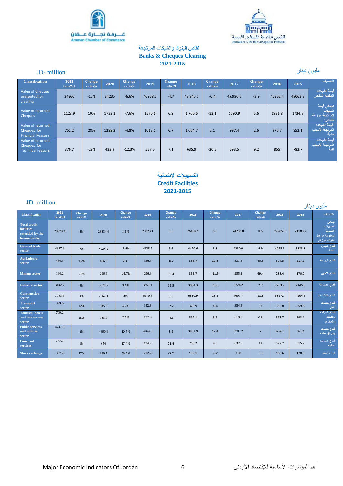



## **تقاص البنوك والشيكات المرتجعة Banks & Cheques Clearing 2021-2015**

## million -JD مليون دينار

| <b>Classification</b>                                        | 2021<br>Jan-Oct | <b>Change</b><br>ratio% | 2020   | Change<br>ratio% | 2019    | <b>Change</b><br>ratio% | 2018     | <b>Change</b><br>ratio% | 2017     | <b>Change</b><br>ratio% | 2016    | 2015    | التصنيف                                              |
|--------------------------------------------------------------|-----------------|-------------------------|--------|------------------|---------|-------------------------|----------|-------------------------|----------|-------------------------|---------|---------|------------------------------------------------------|
| Value of Cheques<br>presented for<br>clearing                | 34260           | $-16%$                  | 34235  | $-6.6%$          | 40968.5 | $-4.7$                  | 43,840.5 | $-0.4$                  | 45,990.5 | $-3.9$                  | 46202.4 | 48063.3 | قبمة الشبكات<br>المقدمة للتقاص                       |
| Value of returned<br><b>Cheques</b>                          | 1128.9          | 10%                     | 1733.1 | $-7.6%$          | 1570.6  | 6.9                     | 1,700.6  | $-13.1$                 | 1590.9   | 5.6                     | 1831.8  | 1734.8  | اجمالي فيمة<br>الشبكات<br>المرتجعة موزعة<br>كالتالي: |
| Value of returned<br>Cheques for<br><b>Financial Reasons</b> | 752.2           | 28%                     | 1299.2 | $-4.8%$          | 1013.1  | 6.7                     | 1,064.7  | 2.1                     | 997.4    | 2.6                     | 976.7   | 952.1   | ا قيمة الشيكات ا<br>المرتجعة لأسباب<br>مالية         |
| Value of returned<br>Cheques for<br>Technical reasons        | 376.7           | $-22%$                  | 433.9  | $-12.3%$         | 557.5   | 7.1                     | 635.9    | $-30.5$                 | 593.5    | 9.2                     | 855     | 782.7   | قبمة الشبكات<br>المرتجعة لأسباب<br>فنية              |

## **التسهيالت االئتمانية Credit Facilities 2021-2015**

| JD-million                                                                    |                 |                  |         |                  |         |                  |         |                         |         |                  |         |         | مليون دينار                                                             |
|-------------------------------------------------------------------------------|-----------------|------------------|---------|------------------|---------|------------------|---------|-------------------------|---------|------------------|---------|---------|-------------------------------------------------------------------------|
| <b>Classification</b>                                                         | 2021<br>Jan-Oct | Change<br>ratio% | 2020    | Change<br>ratio% | 2019    | Change<br>ratio% | 2018    | <b>Change</b><br>ratio% | 2017    | Change<br>ratio% | 2016    | 2015    | التصنيف                                                                 |
| <b>Total credit</b><br><b>facilities</b><br>extended by the<br>license banks. | 29979.4         | 6%               | 28634.6 | 3.5%             | 27023.1 | 5.5              | 26108.1 | 5.5                     | 24736.8 | 8.5              | 22905.8 | 21103.5 | اجمالى<br>التسهيلات<br>الانتمانية<br>الممنوحة من قبل<br>البنوك، أبرزها: |
| <b>General trade</b><br>sector                                                | 4347.9          | 7%               | 4524.3  | $-5.4%$          | 4228.5  | 5.6              | 4470.6  | 3.8                     | 4230.9  | 4.9              | 4075.5  | 3883.8  | قطاع التجارة<br>العامة                                                  |
| <b>Agriculture</b><br>sector                                                  | 434.5           | %24              | 416.8   | $0.1 -$          | 336.5   | $-0.2$           | 336.7   | 10.8                    | 337.4   | 40.3             | 304.5   | 217.1   | قطاع الزراعة                                                            |
| <b>Mining sector</b>                                                          | 194.2           | $-20%$           | 236.6   | $-16.7%$         | 296.3   | 39.4             | 355.7   | $-11.5$                 | 255.2   | 69.4             | 288.4   | 170.2   | قطاع التعدين                                                            |
| <b>Industry sector</b>                                                        | 3492.7          | 5%               | 3521.7  | 9.4%             | 3351.1  | 12.5             | 3064.3  | 23.6                    | 2724.2  | 2.7              | 2203.4  | 2145.8  | قطاع الصناعة                                                            |
| <b>Construction</b><br>sector                                                 | 7793.9          | 4%               | 7262.1  | 2%               | 6970.3  | 3.5              | 6830.9  | 13.2                    | 6601.7  | 18.8             | 5827.7  | 4904.5  | قطاع الانشاءات                                                          |
| <b>Transport</b><br>sector                                                    | 399.6           | 12%              | 385.6   | 4.2%             | 342.8   | $-7.2$           | 328.9   | $-0.4$                  | 354.3   | 37               | 355.8   | 259.8   | قطاع خدمات<br>النقل                                                     |
| <b>Tourism, hotels</b><br>and restaurants<br>sector                           | 700.2           | 15%              | 735.6   | 7.7%             | 637.9   | $-4.5$           | 592.1   | 3.6                     | 619.7   | 0.8              | 597.7   | 593.1   | قطاع السياحة<br>والفنادق<br>والمطاعم                                    |
| <b>Public services</b><br>and utilities<br>sector                             | 4747.0          | 2%               | 4360.6  | 10.7%            | 4264.3  | 3.9              | 3852.9  | 12.4                    | 3707.2  | $\overline{2}$   | 3296.2  | 3232    | قطاع خدمات<br>ومرافق عامة                                               |
| <b>Financial</b><br>services                                                  | 747.3           | 3%               | 656     | 17.4%            | 634.2   | 21.4             | 768.2   | 9.5                     | 632.5   | 12               | 577.2   | 515.2   | قطاع الخدمات<br>المالية                                                 |
| <b>Stock exchange</b>                                                         | 337.2           | 27%              | 268.7   | 39.5%            | 212.2   | $-3.7$           | 152.1   | $-6.2$                  | 158     | $-5.5$           | 168.6   | 178.5   | شراء أسهم                                                               |